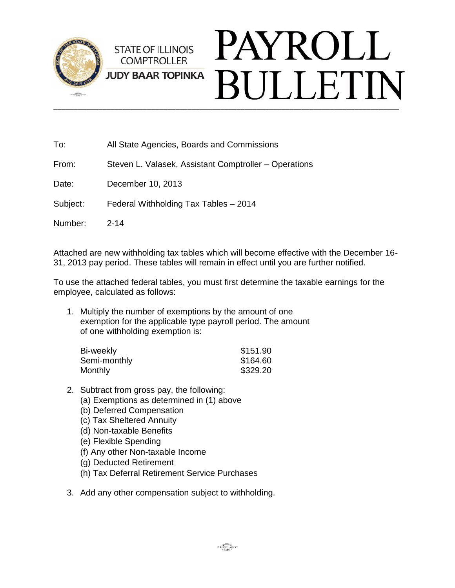

| To:      | All State Agencies, Boards and Commissions            |
|----------|-------------------------------------------------------|
| From:    | Steven L. Valasek, Assistant Comptroller – Operations |
| Date:    | December 10, 2013                                     |
| Subject: | Federal Withholding Tax Tables - 2014                 |
| Number:  | $2 - 14$                                              |
|          |                                                       |

Attached are new withholding tax tables which will become effective with the December 16- 31, 2013 pay period. These tables will remain in effect until you are further notified.

To use the attached federal tables, you must first determine the taxable earnings for the employee, calculated as follows:

1. Multiply the number of exemptions by the amount of one exemption for the applicable type payroll period. The amount of one withholding exemption is:

| Bi-weekly    | \$151.90 |
|--------------|----------|
| Semi-monthly | \$164.60 |
| Monthly      | \$329.20 |

- 2. Subtract from gross pay, the following:
	- (a) Exemptions as determined in (1) above
	- (b) Deferred Compensation
	- (c) Tax Sheltered Annuity
	- (d) Non-taxable Benefits
	- (e) Flexible Spending
	- (f) Any other Non-taxable Income
	- (g) Deducted Retirement
	- (h) Tax Deferral Retirement Service Purchases
- 3. Add any other compensation subject to withholding.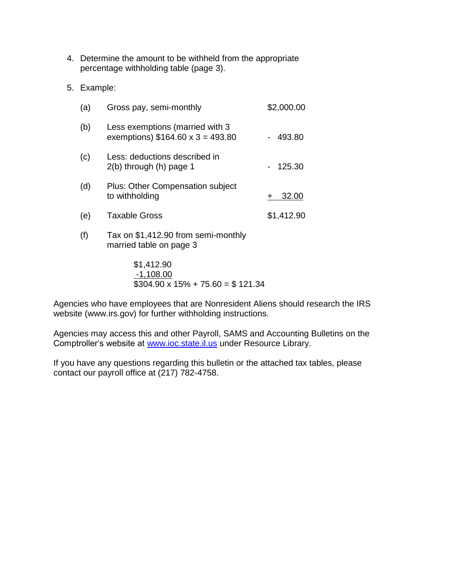- 4. Determine the amount to be withheld from the appropriate percentage withholding table (page 3).
- 5. Example:

| (a) | Gross pay, semi-monthly                                                    | \$2,000.00 |
|-----|----------------------------------------------------------------------------|------------|
| (b) | Less exemptions (married with 3<br>exemptions) $$164.60 \times 3 = 493.80$ | 493.80     |
| (c) | Less: deductions described in<br>$2(b)$ through $(h)$ page 1               | 125.30     |
| (d) | <b>Plus: Other Compensation subject</b><br>to withholding                  | 32.00      |
| (e) | <b>Taxable Gross</b>                                                       | \$1,412.90 |
| (f) | Tax on \$1,412.90 from semi-monthly                                        |            |

married table on page 3

## \$1,412.90 -1,108.00  $$304.90 \times 15\% + 75.60 = $121.34$

Agencies who have employees that are Nonresident Aliens should research the IRS website (www.irs.gov) for further withholding instructions.

Agencies may access this and other Payroll, SAMS and Accounting Bulletins on the Comptroller's website at [www.ioc.state.il.us](http://www.ioc.state.il.us/) under Resource Library.

If you have any questions regarding this bulletin or the attached tax tables, please contact our payroll office at (217) 782-4758.